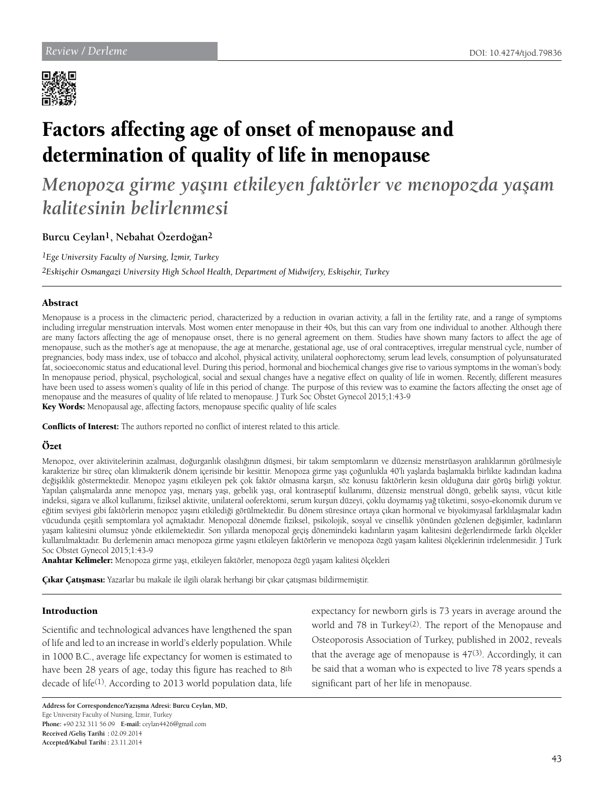

# Factors affecting age of onset of menopause and determination of quality of life in menopause

## *Menopoza girme yaşını etkileyen faktörler ve menopozda yaşam kalitesinin belirlenmesi*

**Burcu Ceylan1, Nebahat Özerdoğan2**

*1Ege University Faculty of Nursing, İzmir, Turkey 2Eskişehir Osmangazi University High School Health, Department of Midwifery, Eskişehir, Turkey*

#### Abstract

Menopause is a process in the climacteric period, characterized by a reduction in ovarian activity, a fall in the fertility rate, and a range of symptoms including irregular menstruation intervals. Most women enter menopause in their 40s, but this can vary from one individual to another. Although there are many factors affecting the age of menopause onset, there is no general agreement on them. Studies have shown many factors to affect the age of menopause, such as the mother's age at menopause, the age at menarche, gestational age, use of oral contraceptives, irregular menstrual cycle, number of pregnancies, body mass index, use of tobacco and alcohol, physical activity, unilateral oophorectomy, serum lead levels, consumption of polyunsaturated fat, socioeconomic status and educational level. During this period, hormonal and biochemical changes give rise to various symptoms in the woman's body. In menopause period, physical, psychological, social and sexual changes have a negative effect on quality of life in women. Recently, different measures have been used to assess women's quality of life in this period of change. The purpose of this review was to examine the factors affecting the onset age of menopause and the measures of quality of life related to menopause. J Turk Soc Obstet Gynecol 2015;1:43-9 Key Words: Menopausal age, affecting factors, menopause specific quality of life scales

Conflicts of Interest: The authors reported no conflict of interest related to this article.

#### Özet

Menopoz, over aktivitelerinin azalması, doğurganlık olasılığının düşmesi, bir takım semptomların ve düzensiz menstrüasyon aralıklarının görülmesiyle karakterize bir süreç olan klimakterik dönem içerisinde bir kesittir. Menopoza girme yaşı çoğunlukla 40'lı yaşlarda başlamakla birlikte kadından kadına değişiklik göstermektedir. Menopoz yaşını etkileyen pek çok faktör olmasına karşın, söz konusu faktörlerin kesin olduğuna dair görüş birliği yoktur. Yapılan çalışmalarda anne menopoz yaşı, menarş yaşı, gebelik yaşı, oral kontraseptif kullanımı, düzensiz menstrual döngü, gebelik sayısı, vücut kitle indeksi, sigara ve alkol kullanımı, fiziksel aktivite, unilateral ooferektomi, serum kurşun düzeyi, çoklu doymamış yağ tüketimi, sosyo-ekonomik durum ve eğitim seviyesi gibi faktörlerin menopoz yaşını etkilediği görülmektedir. Bu dönem süresince ortaya çıkan hormonal ve biyokimyasal farklılaşmalar kadın vücudunda çeşitli semptomlara yol açmaktadır. Menopozal dönemde fiziksel, psikolojik, sosyal ve cinsellik yönünden gözlenen değişimler, kadınların yaşam kalitesini olumsuz yönde etkilemektedir. Son yıllarda menopozal geçiş dönemindeki kadınların yaşam kalitesini değerlendirmede farklı ölçekler kullanılmaktadır. Bu derlemenin amacı menopoza girme yaşını etkileyen faktörlerin ve menopoza özgü yaşam kalitesi ölçeklerinin irdelenmesidir. J Turk Soc Obstet Gynecol 2015;1:43-9

Anahtar Kelimeler: Menopoza girme yaşı, etkileyen faktörler, menopoza özgü yaşam kalitesi ölçekleri

Çıkar Çatışması: Yazarlar bu makale ile ilgili olarak herhangi bir çıkar çatışması bildirmemiştir.

#### Introduction

Scientific and technological advances have lengthened the span of life and led to an increase in world's elderly population. While in 1000 B.C., average life expectancy for women is estimated to have been 28 years of age, today this figure has reached to 8<sup>th</sup> decade of life<sup>(1)</sup>. According to 2013 world population data, life expectancy for newborn girls is 73 years in average around the world and 78 in Turkey<sup>(2)</sup>. The report of the Menopause and Osteoporosis Association of Turkey, published in 2002, reveals that the average age of menopause is  $47<sup>(3)</sup>$ . Accordingly, it can be said that a woman who is expected to live 78 years spends a significant part of her life in menopause.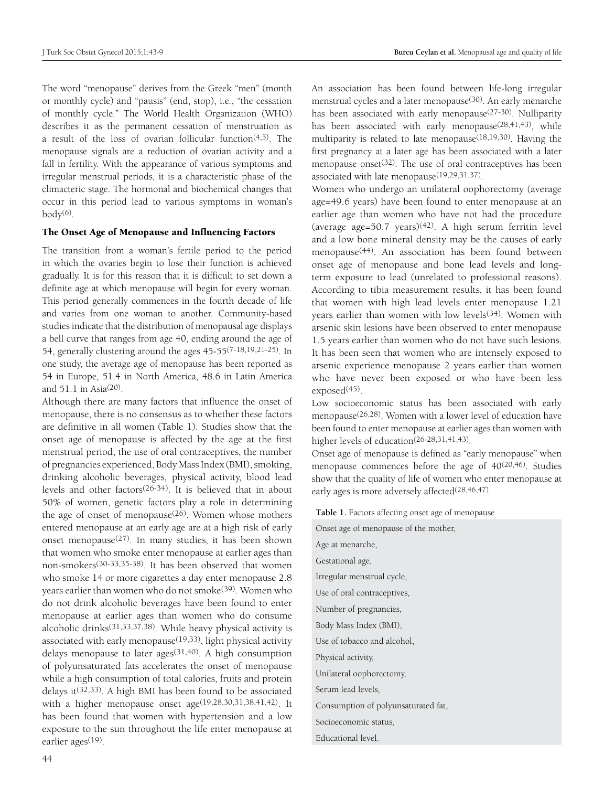The word "menopause" derives from the Greek "men" (month or monthly cycle) and "pausis" (end, stop), i.e., "the cessation of monthly cycle." The World Health Organization (WHO) describes it as the permanent cessation of menstruation as a result of the loss of ovarian follicular function(4,5). The menopause signals are a reduction of ovarian activity and a fall in fertility. With the appearance of various symptoms and irregular menstrual periods, it is a characteristic phase of the climacteric stage. The hormonal and biochemical changes that occur in this period lead to various symptoms in woman's  $body(6)$ .

#### The Onset Age of Menopause and Influencing Factors

The transition from a woman's fertile period to the period in which the ovaries begin to lose their function is achieved gradually. It is for this reason that it is difficult to set down a definite age at which menopause will begin for every woman. This period generally commences in the fourth decade of life and varies from one woman to another. Community-based studies indicate that the distribution of menopausal age displays a bell curve that ranges from age 40, ending around the age of 54, generally clustering around the ages 45-55(7-18,19,21-25). In one study, the average age of menopause has been reported as 54 in Europe, 51.4 in North America, 48.6 in Latin America and 51.1 in Asia(20).

Although there are many factors that influence the onset of menopause, there is no consensus as to whether these factors are definitive in all women (Table 1). Studies show that the onset age of menopause is affected by the age at the first menstrual period, the use of oral contraceptives, the number of pregnancies experienced, Body Mass Index (BMI), smoking, drinking alcoholic beverages, physical activity, blood lead levels and other factors(26-34). It is believed that in about 50% of women, genetic factors play a role in determining the age of onset of menopause $(26)$ . Women whose mothers entered menopause at an early age are at a high risk of early onset menopause<sup>(27)</sup>. In many studies, it has been shown that women who smoke enter menopause at earlier ages than non-smokers(30-33,35-38). It has been observed that women who smoke 14 or more cigarettes a day enter menopause 2.8 years earlier than women who do not smoke(39). Women who do not drink alcoholic beverages have been found to enter menopause at earlier ages than women who do consume alcoholic drinks(31,33,37,38). While heavy physical activity is associated with early menopause<sup>(19,33)</sup>, light physical activity delays menopause to later ages(31,40). A high consumption of polyunsaturated fats accelerates the onset of menopause while a high consumption of total calories, fruits and protein delays it(32,33). A high BMI has been found to be associated with a higher menopause onset age(19,28,30,31,38,41,42). It has been found that women with hypertension and a low exposure to the sun throughout the life enter menopause at earlier ages<sup>(19)</sup>.

An association has been found between life-long irregular menstrual cycles and a later menopause(30). An early menarche has been associated with early menopause<sup>(27-30)</sup>. Nulliparity has been associated with early menopause<sup>(28,41,43)</sup>, while multiparity is related to late menopause(18,19,30). Having the first pregnancy at a later age has been associated with a later menopause onset<sup>(32)</sup>. The use of oral contraceptives has been associated with late menopause(19,29,31,37).

Women who undergo an unilateral oophorectomy (average age=49.6 years) have been found to enter menopause at an earlier age than women who have not had the procedure (average age=50.7 years) $(42)$ . A high serum ferritin level and a low bone mineral density may be the causes of early menopause(44). An association has been found between onset age of menopause and bone lead levels and longterm exposure to lead (unrelated to professional reasons). According to tibia measurement results, it has been found that women with high lead levels enter menopause 1.21 years earlier than women with low levels(34). Women with arsenic skin lesions have been observed to enter menopause 1.5 years earlier than women who do not have such lesions. It has been seen that women who are intensely exposed to arsenic experience menopause 2 years earlier than women who have never been exposed or who have been less exposed(45).

Low socioeconomic status has been associated with early menopause(26,28). Women with a lower level of education have been found to enter menopause at earlier ages than women with higher levels of education<sup>(26-28,31,41,43)</sup>.

Onset age of menopause is defined as "early menopause" when menopause commences before the age of 40(20,46). Studies show that the quality of life of women who enter menopause at early ages is more adversely affected<sup>(28,46,47)</sup>.

**Table 1.** Factors affecting onset age of menopause

Onset age of menopause of the mother, Age at menarche, Gestational age, Irregular menstrual cycle, Use of oral contraceptives, Number of pregnancies, Body Mass Index (BMI), Use of tobacco and alcohol, Physical activity, Unilateral oophorectomy, Serum lead levels, Consumption of polyunsaturated fat, Socioeconomic status, Educational level.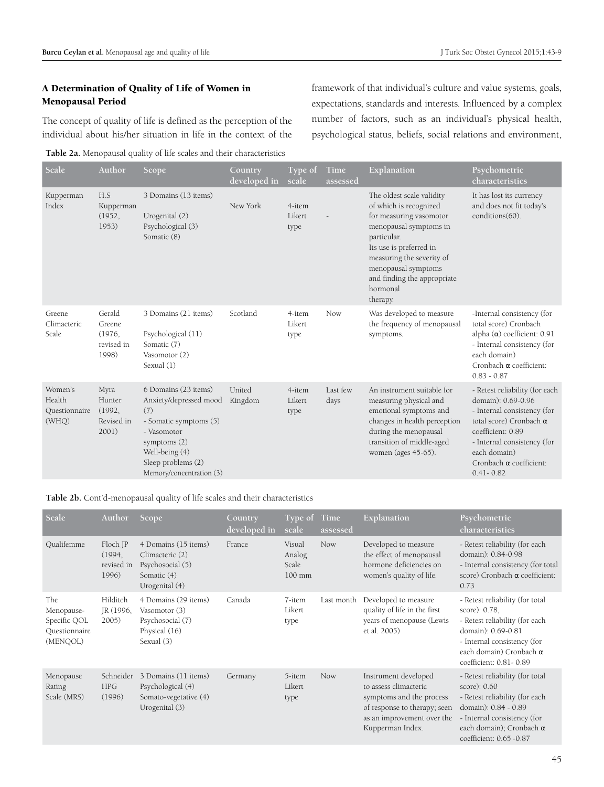### A Determination of Quality of Life of Women in Menopausal Period

The concept of quality of life is defined as the perception of the individual about his/her situation in life in the context of the

**Table 2a.** Menopausal quality of life scales and their characteristics

framework of that individual's culture and value systems, goals, expectations, standards and interests. Influenced by a complex number of factors, such as an individual's physical health, psychological status, beliefs, social relations and environment,

| Scale                                       | Author                                            | Scope                                                                                                                                                                                | Country<br>developed in | $\overline{\text{Type of}}$<br>scale | Time<br>assessed | Explanation                                                                                                                                                                                                                                                   | Psychometric<br>characteristics                                                                                                                                                                                                              |
|---------------------------------------------|---------------------------------------------------|--------------------------------------------------------------------------------------------------------------------------------------------------------------------------------------|-------------------------|--------------------------------------|------------------|---------------------------------------------------------------------------------------------------------------------------------------------------------------------------------------------------------------------------------------------------------------|----------------------------------------------------------------------------------------------------------------------------------------------------------------------------------------------------------------------------------------------|
| Kupperman<br>Index                          | H.S<br>Kupperman<br>(1952,<br>1953)               | 3 Domains (13 items)<br>Urogenital (2)<br>Psychological (3)<br>Somatic (8)                                                                                                           | New York                | 4-item<br>Likert<br>type             |                  | The oldest scale validity<br>of which is recognized<br>for measuring vasomotor<br>menopausal symptoms in<br>particular.<br>Its use is preferred in<br>measuring the severity of<br>menopausal symptoms<br>and finding the appropriate<br>hormonal<br>therapy. | It has lost its currency<br>and does not fit today's<br>conditions(60).                                                                                                                                                                      |
| Greene<br>Climacteric<br>Scale              | Gerald<br>Greene<br>(1976,<br>revised in<br>1998) | 3 Domains (21 items)<br>Psychological (11)<br>Somatic (7)<br>Vasomotor (2)<br>Sexual (1)                                                                                             | Scotland                | 4-item<br>Likert<br>type             | Now              | Was developed to measure<br>the frequency of menopausal<br>symptoms.                                                                                                                                                                                          | -Internal consistency (for<br>total score) Cronbach<br>alpha $(\alpha)$ coefficient: 0.91<br>- Internal consistency (for<br>each domain)<br>Cronbach $\alpha$ coefficient:<br>$0.83 - 0.87$                                                  |
| Women's<br>Health<br>Ouestionnaire<br>(WHQ) | Myra<br>Hunter<br>(1992,<br>Revised in<br>2001)   | 6 Domains (23 items)<br>Anxiety/depressed mood<br>(7)<br>- Somatic symptoms (5)<br>- Vasomotor<br>symptoms $(2)$<br>Well-being (4)<br>Sleep problems (2)<br>Memory/concentration (3) | United<br>Kingdom       | 4-item<br>Likert<br>type             | Last few<br>days | An instrument suitable for<br>measuring physical and<br>emotional symptoms and<br>changes in health perception<br>during the menopausal<br>transition of middle-aged<br>women (ages 45-65).                                                                   | - Retest reliability (for each<br>domain): 0.69-0.96<br>- Internal consistency (for<br>total score) Cronbach $\alpha$<br>coefficient: 0.89<br>- Internal consistency (for<br>each domain)<br>Cronbach $\alpha$ coefficient:<br>$0.41 - 0.82$ |

**Table 2b.** Cont'd-menopausal quality of life scales and their characteristics

| Scale                                                           | Author                                    | Scope                                                                                        | Country<br>developed in | Type of<br>scale                              | Time<br>assessed | Explanation                                                                                                                                                 | Psychometric<br>characteristics                                                                                                                                                                        |
|-----------------------------------------------------------------|-------------------------------------------|----------------------------------------------------------------------------------------------|-------------------------|-----------------------------------------------|------------------|-------------------------------------------------------------------------------------------------------------------------------------------------------------|--------------------------------------------------------------------------------------------------------------------------------------------------------------------------------------------------------|
| Oualifemme                                                      | Floch JP<br>(1994,<br>revised in<br>1996) | 4 Domains (15 items)<br>Climacteric (2)<br>Psychosocial (5)<br>Somatic (4)<br>Urogenital (4) | France                  | Visual<br>Analog<br>Scale<br>$100 \text{ mm}$ | <b>Now</b>       | Developed to measure<br>the effect of menopausal<br>hormone deficiencies on<br>women's quality of life.                                                     | - Retest reliability (for each<br>domain): 0.84-0.98<br>- Internal consistency (for total<br>score) Cronbach $\alpha$ coefficient:<br>0.73                                                             |
| The.<br>Menopause-<br>Specific QOL<br>Questionnaire<br>(MENQOL) | Hilditch<br>JR (1996,<br>2005)            | 4 Domains (29 items)<br>Vasomotor (3)<br>Psychosocial (7)<br>Physical (16)<br>Sexual (3)     | Canada                  | 7-item<br>Likert<br>type                      | Last month       | Developed to measure<br>quality of life in the first<br>years of menopause (Lewis<br>et al. 2005)                                                           | - Retest reliability (for total<br>score): 0.78.<br>- Retest reliability (for each<br>domain): 0.69-0.81<br>- Internal consistency (for<br>each domain) Cronbach $\alpha$<br>coefficient: 0.81-0.89    |
| Menopause<br>Rating<br>Scale (MRS)                              | Schneider<br><b>HPG</b><br>(1996)         | 3 Domains (11 items)<br>Psychological (4)<br>Somato-vegetative (4)<br>Urogenital (3)         | Germany                 | 5-item<br>Likert<br>type                      | <b>Now</b>       | Instrument developed<br>to assess climacteric<br>symptoms and the process<br>of response to therapy; seen<br>as an improvement over the<br>Kupperman Index. | - Retest reliability (for total<br>score): 0.60<br>- Retest reliability (for each<br>domain): 0.84 - 0.89<br>- Internal consistency (for<br>each domain); Cronbach $\alpha$<br>coefficient: 0.65 -0.87 |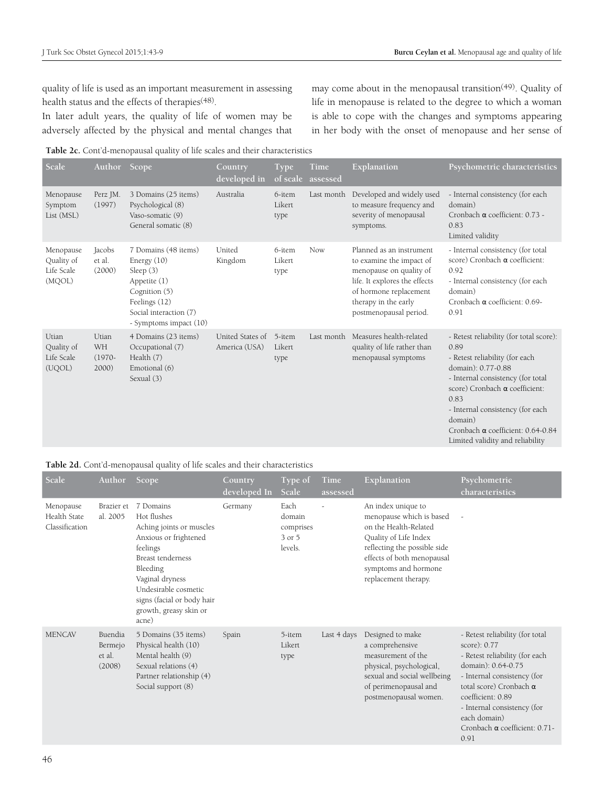quality of life is used as an important measurement in assessing health status and the effects of therapies(48).

In later adult years, the quality of life of women may be adversely affected by the physical and mental changes that

may come about in the menopausal transition<sup>(49)</sup>. Quality of life in menopause is related to the degree to which a woman is able to cope with the changes and symptoms appearing in her body with the onset of menopause and her sense of

| Scale                                           | Author Scope                             |                                                                                                                                                              | Country<br>developed in           | <b>Type</b><br>of scale  | <b>Time</b><br>assessed | Explanation                                                                                                                                                                                  | Psychometric characteristics                                                                                                                                                                                                                                                                                          |
|-------------------------------------------------|------------------------------------------|--------------------------------------------------------------------------------------------------------------------------------------------------------------|-----------------------------------|--------------------------|-------------------------|----------------------------------------------------------------------------------------------------------------------------------------------------------------------------------------------|-----------------------------------------------------------------------------------------------------------------------------------------------------------------------------------------------------------------------------------------------------------------------------------------------------------------------|
| Menopause<br>Symptom<br>List (MSL)              | Perz JM.<br>(1997)                       | 3 Domains (25 items)<br>Psychological (8)<br>Vaso-somatic (9)<br>General somatic (8)                                                                         | Australia                         | 6-item<br>Likert<br>type | Last month              | Developed and widely used<br>to measure frequency and<br>severity of menopausal<br>symptoms.                                                                                                 | - Internal consistency (for each<br>domain)<br>Cronbach $\alpha$ coefficient: 0.73 -<br>0.83<br>Limited validity                                                                                                                                                                                                      |
| Menopause<br>Quality of<br>Life Scale<br>(MQOL) | Jacobs<br>et al.<br>(2000)               | 7 Domains (48 items)<br>Energy $(10)$<br>Sleep $(3)$<br>Appetite $(1)$<br>Cognition (5)<br>Feelings (12)<br>Social interaction (7)<br>- Symptoms impact (10) | United<br>Kingdom                 | 6-item<br>Likert<br>type | Now                     | Planned as an instrument<br>to examine the impact of<br>menopause on quality of<br>life. It explores the effects<br>of hormone replacement<br>therapy in the early<br>postmenopausal period. | - Internal consistency (for total<br>score) Cronbach $\alpha$ coefficient:<br>0.92<br>- Internal consistency (for each<br>domain)<br>Cronbach $\alpha$ coefficient: 0.69-<br>0.91                                                                                                                                     |
| Utian<br>Quality of<br>Life Scale<br>(UQOL)     | Utian<br><b>WH</b><br>$(1970 -$<br>2000) | 4 Domains (23 items)<br>Occupational (7)<br>Health (7)<br>Emotional (6)<br>Sexual (3)                                                                        | United States of<br>America (USA) | 5-item<br>Likert<br>type | Last month              | Measures health-related<br>quality of life rather than<br>menopausal symptoms                                                                                                                | - Retest reliability (for total score):<br>0.89<br>- Retest reliability (for each<br>domain): 0.77-0.88<br>- Internal consistency (for total<br>score) Cronbach $\alpha$ coefficient:<br>0.83<br>- Internal consistency (for each<br>domain)<br>Cronbach α coefficient: 0.64-0.84<br>Limited validity and reliability |

#### **Table 2d.** Cont'd-menopausal quality of life scales and their characteristics

| Scale                                       | Author                                 | Scope                                                                                                                                                                                                                                  | Country<br>developed In | Type of<br>Scale                                 | Time<br>assessed | Explanation                                                                                                                                                                                                    | Psychometric<br>characteristics                                                                                                                                                                                                                                                              |
|---------------------------------------------|----------------------------------------|----------------------------------------------------------------------------------------------------------------------------------------------------------------------------------------------------------------------------------------|-------------------------|--------------------------------------------------|------------------|----------------------------------------------------------------------------------------------------------------------------------------------------------------------------------------------------------------|----------------------------------------------------------------------------------------------------------------------------------------------------------------------------------------------------------------------------------------------------------------------------------------------|
| Menopause<br>Health State<br>Classification | Brazier et<br>al. 2005                 | 7 Domains<br>Hot flushes<br>Aching joints or muscles<br>Anxious or frightened<br>feelings<br>Breast tenderness<br>Bleeding<br>Vaginal dryness<br>Undesirable cosmetic<br>signs (facial or body hair<br>growth, greasy skin or<br>acne) | Germany                 | Each<br>domain<br>comprises<br>3 or 5<br>levels. |                  | An index unique to<br>menopause which is based<br>on the Health-Related<br>Quality of Life Index<br>reflecting the possible side<br>effects of both menopausal<br>symptoms and hormone<br>replacement therapy. |                                                                                                                                                                                                                                                                                              |
| <b>MENCAV</b>                               | Buendia<br>Bermejo<br>et al.<br>(2008) | 5 Domains (35 items)<br>Physical health (10)<br>Mental health (9)<br>Sexual relations (4)<br>Partner relationship (4)<br>Social support (8)                                                                                            | Spain                   | 5-item<br>Likert<br>type                         | Last 4 days      | Designed to make<br>a comprehensive<br>measurement of the<br>physical, psychological,<br>sexual and social wellbeing<br>of perimenopausal and<br>postmenopausal women.                                         | - Retest reliability (for total<br>score): 0.77<br>- Retest reliability (for each<br>domain): 0.64-0.75<br>- Internal consistency (for<br>total score) Cronbach $\alpha$<br>coefficient: 0.89<br>- Internal consistency (for<br>each domain)<br>Cronbach $\alpha$ coefficient: 0.71-<br>0.91 |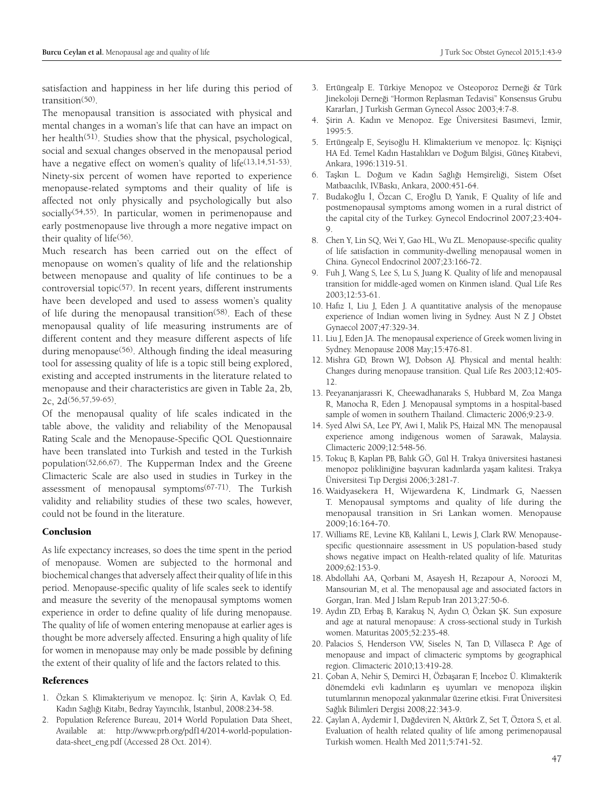satisfaction and happiness in her life during this period of transition(50).

The menopausal transition is associated with physical and mental changes in a woman's life that can have an impact on her health<sup>(51)</sup>. Studies show that the physical, psychological, social and sexual changes observed in the menopausal period have a negative effect on women's quality of life(13,14,51-53). Ninety-six percent of women have reported to experience menopause-related symptoms and their quality of life is affected not only physically and psychologically but also socially(54,55). In particular, women in perimenopause and early postmenopause live through a more negative impact on their quality of life $(56)$ .

Much research has been carried out on the effect of menopause on women's quality of life and the relationship between menopause and quality of life continues to be a controversial topic<sup>(57)</sup>. In recent years, different instruments have been developed and used to assess women's quality of life during the menopausal transition<sup> $(58)$ </sup>. Each of these menopausal quality of life measuring instruments are of different content and they measure different aspects of life during menopause<sup>(56)</sup>. Although finding the ideal measuring tool for assessing quality of life is a topic still being explored, existing and accepted instruments in the literature related to menopause and their characteristics are given in Table 2a, 2b, 2c, 2d(56,57,59-65).

Of the menopausal quality of life scales indicated in the table above, the validity and reliability of the Menopausal Rating Scale and the Menopause-Specific QOL Questionnaire have been translated into Turkish and tested in the Turkish population(52,66,67). The Kupperman Index and the Greene Climacteric Scale are also used in studies in Turkey in the assessment of menopausal symptoms<sup>(67-71)</sup>. The Turkish validity and reliability studies of these two scales, however, could not be found in the literature.

#### Conclusion

As life expectancy increases, so does the time spent in the period of menopause. Women are subjected to the hormonal and biochemical changes that adversely affect their quality of life in this period. Menopause-specific quality of life scales seek to identify and measure the severity of the menopausal symptoms women experience in order to define quality of life during menopause. The quality of life of women entering menopause at earlier ages is thought be more adversely affected. Ensuring a high quality of life for women in menopause may only be made possible by defining the extent of their quality of life and the factors related to this.

#### References

- 1. Özkan S. Klimakteriyum ve menopoz. İç: Şirin A, Kavlak O, Ed. Kadın Sağlığı Kitabı, Bedray Yayıncılık, İstanbul, 2008:234-58.
- 2. Population Reference Bureau, 2014 World Population Data Sheet, Available at: http://www.prb.org/pdf14/2014-world-populationdata-sheet\_eng.pdf (Accessed 28 Oct. 2014).
- 3. Ertüngealp E. Türkiye Menopoz ve Osteoporoz Derneği & Türk Jinekoloji Derneği "Hormon Replasman Tedavisi" Konsensus Grubu Kararları, J Turkish German Gynecol Assoc 2003;4:7-8.
- 4. Şirin A. Kadın ve Menopoz. Ege Üniversitesi Basımevi, İzmir, 1995:5.
- 5. Ertüngealp E, Seyisoğlu H. Klimakterium ve menopoz. İç: Kişnişçi HA Ed. Temel Kadın Hastalıkları ve Doğum Bilgisi, Güneş Kitabevi, Ankara, 1996:1319-51.
- 6. Taşkın L. Doğum ve Kadın Sağlığı Hemşireliği, Sistem Ofset Matbaacılık, IV.Baskı, Ankara, 2000:451-64.
- 7. Budakoğlu İ, Özcan C, Eroğlu D, Yanık, F. Quality of life and postmenopausal symptoms among women in a rural district of the capital city of the Turkey. Gynecol Endocrinol 2007;23:404- 9.
- 8. Chen Y, Lin SQ, Wei Y, Gao HL, Wu ZL. Menopause-specific quality of life satisfaction in community-dwelling menopausal women in China. Gynecol Endocrinol 2007;23:166-72.
- 9. Fuh J, Wang S, Lee S, Lu S, Juang K. Quality of life and menopausal transition for middle-aged women on Kinmen island. Qual Life Res 2003;12:53-61.
- 10. Hafız I, Liu J, Eden J. A quantitative analysis of the menopause experience of Indian women living in Sydney. Aust N Z J Obstet Gynaecol 2007;47:329-34.
- 11. Liu J, Eden JA. The menopausal experience of Greek women living in Sydney. Menopause 2008 May;15:476-81.
- 12. Mishra GD, Brown WJ, Dobson AJ. Physical and mental health: Changes during menopause transition. Qual Life Res 2003;12:405- 12.
- 13. Peeyananjarassri K, Cheewadhanaraks S, Hubbard M, Zoa Manga R, Manocha R, Eden J. Menopausal symptoms in a hospital-based sample of women in southern Thailand. Climacteric 2006;9:23-9.
- 14. Syed Alwi SA, Lee PY, Awi I, Malik PS, Haizal MN. The menopausal experience among indigenous women of Sarawak, Malaysia. Climacteric 2009;12:548-56.
- 15. Tokuç B, Kaplan PB, Balık GÖ, Gül H. Trakya üniversitesi hastanesi menopoz polikliniğine başvuran kadınlarda yaşam kalitesi. Trakya Üniversitesi Tıp Dergisi 2006;3:281-7.
- 16. Waidyasekera H, Wijewardena K, Lindmark G, Naessen T. Menopausal symptoms and quality of life during the menopausal transition in Sri Lankan women. Menopause 2009;16:164-70.
- 17. Williams RE, Levine KB, Kalilani L, Lewis J, Clark RW. Menopausespecific questionnaire assessment in US population-based study shows negative impact on Health-related quality of life. Maturitas 2009;62:153-9.
- 18. Abdollahi AA, Qorbani M, Asayesh H, Rezapour A, Noroozi M, Mansourian M, et al. The menopausal age and associated factors in Gorgan, Iran. Med J Islam Repub Iran 2013;27:50-6.
- 19. Aydın ZD, Erbaş B, Karakuş N, Aydın O, Özkan ŞK. Sun exposure and age at natural menopause: A cross-sectional study in Turkish women. Maturitas 2005;52:235-48.
- 20. Palacios S, Henderson VW, Siseles N, Tan D, Villaseca P. Age of menopause and impact of climacteric symptoms by geographical region. Climacteric 2010;13:419-28.
- 21. Çoban A, Nehir S, Demirci H, Özbaşaran F, İnceboz Ü. Klimakterik dönemdeki evli kadınların eş uyumları ve menopoza ilişkin tutumlarının menopozal yakınmalar üzerine etkisi. Fırat Üniversitesi Sağlık Bilimleri Dergisi 2008;22:343-9.
- 22. Çaylan A, Aydemir I, Dağdeviren N, Aktürk Z, Set T, Öztora S, et al. Evaluation of health related quality of life among perimenopausal Turkish women. Health Med 2011;5:741-52.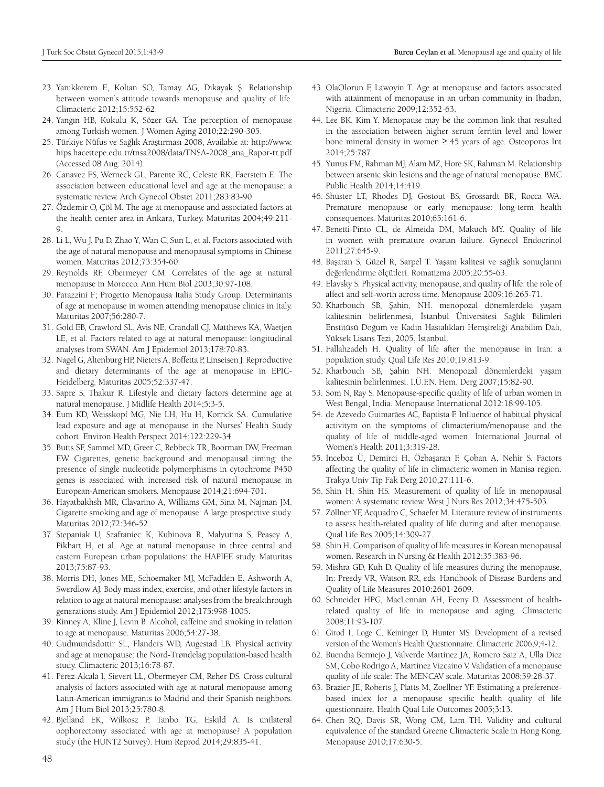- 23. Yanıkkerem E, Koltan SO, Tamay AG, Dikayak Ş. Relationship between women's attitude towards menopause and quality of life. Climacteric 2012;15:552-62.
- 24. Yangın HB, Kukulu K, Sözer GA. The perception of menopause among Turkish women. J Women Aging 2010;22:290-305.
- 25. Türkiye Nüfus ve Sağlık Araştırması 2008, Available at: http://www. hips.hacettepe.edu.tr/tnsa2008/data/TNSA-2008\_ana\_Rapor-tr.pdf (Accessed 08 Aug. 2014).
- 26. Canavez FS, Werneck GL, Parente RC, Celeste RK, Faerstein E. The association between educational level and age at the menopause: a systematic review. Arch Gynecol Obstet 2011;283:83-90.
- 27. Özdemir O, Çöl M. The age at menopause and associated factors at the health center area in Ankara, Turkey. Maturitas 2004;49:211-  $\Omega$
- 28. Li L, Wu J, Pu D, Zhao Y, Wan C, Sun L, et al. Factors associated with the age of natural menopause and menopausal symptoms in Chinese women. Maturitas 2012;73:354-60.
- 29. Reynolds RF, Obermeyer CM. Correlates of the age at natural menopause in Morocco. Ann Hum Biol 2003;30:97-108.
- 30. Parazzini F; Progetto Menopausa Italia Study Group. Determinants of age at menopause in women attending menopause clinics in Italy. Maturitas 2007;56:280-7.
- 31. Gold EB, Crawford SL, Avis NE, Crandall CJ, Matthews KA, Waetjen LE, et al. Factors related to age at natural menopause: longitudinal analyses from SWAN. Am J Epidemiol 2013;178:70-83.
- 32. Nagel G, Altenburg HP, Nieters A, Boffetta P, Linseisen J. Reproductive and dietary determinants of the age at menopause in EPIC-Heidelberg. Maturitas 2005;52:337-47.
- 33. Sapre S, Thakur R. Lifestyle and dietary factors determine age at natural menopause. J Midlife Health 2014;5:3-5.
- 34. Eum KD, Weisskopf MG, Nie LH, Hu H, Korrick SA. Cumulative lead exposure and age at menopause in the Nurses' Health Study cohort. Environ Health Perspect 2014;122:229-34.
- 35. Butts SF, Sammel MD, Greer C, Rebbeck TR, Boorman DW, Freeman EW. Cigarettes, genetic background and menopausal timing: the presence of single nucleotide polymorphisms in cytochrome P450 genes is associated with increased risk of natural menopause in European-American smokers. Menopause 2014;21:694-701.
- 36. Hayatbakhsh MR, Clavarino A, Williams GM, Sina M, Najman JM. Cigarette smoking and age of menopause: A large prospective study. Maturitas 2012;72:346-52.
- 37. Stepaniak U, Szafraniec K, Kubinova R, Malyutina S, Peasey A, Pikhart H, et al. Age at natural menopause in three central and eastern European urban populations: the HAPIEE study. Maturitas 2013;75:87-93.
- 38. Morris DH, Jones ME, Schoemaker MJ, McFadden E, Ashworth A, Swerdlow AJ. Body mass index, exercise, and other lifestyle factors in relation to age at natural menopause: analyses from the breakthrough generations study. Am J Epidemiol 2012;175:998-1005.
- 39. Kinney A, Kline J, Levin B. Alcohol, caffeine and smoking in relation to age at menopause. Maturitas 2006;54:27-38.
- 40. Gudmundsdottir SL, Flanders WD, Augestad LB. Physical activity and age at menopause: the Nord-Trøndelag population-based health study. Climacteric 2013;16:78-87.
- 41. Pérez-Alcalá I, Sievert LL, Obermeyer CM, Reher DS. Cross cultural analysis of factors associated with age at natural menopause among Latin-American immigrants to Madrid and their Spanish neighbors. Am J Hum Biol 2013;25:780-8.
- 42. Bjelland EK, Wilkosz P, Tanbo TG, Eskild A. Is unilateral oophorectomy associated with age at menopause? A population study (the HUNT2 Survey). Hum Reprod 2014;29:835-41.
- 43. OlaOlorun F, Lawoyin T. Age at menopause and factors associated with attainment of menopause in an urban community in Ibadan, Nigeria. Climacteric 2009;12:352-63.
- 44. Lee BK, Kim Y. Menopause may be the common link that resulted in the association between higher serum ferritin level and lower bone mineral density in women  $\geq$  45 years of age. Osteoporos Int 2014;25:787.
- 45. Yunus FM, Rahman MJ, Alam MZ, Hore SK, Rahman M. Relationship between arsenic skin lesions and the age of natural menopause. BMC Public Health 2014;14:419.
- 46. Shuster LT, Rhodes DJ, Gostout BS, Grossardt BR, Rocca WA. Premature menopause or early menopause: long-term health consequences. Maturitas.2010;65:161-6.
- 47. Benetti-Pinto CL, de Almeida DM, Makuch MY. Quality of life in women with premature ovarian failure. Gynecol Endocrinol 2011;27:645-9.
- 48. Başaran S, Güzel R, Sarpel T. Yaşam kalitesi ve sağlık sonuçlarını değerlendirme ölçütleri. Romatizma 2005;20:55-63.
- 49. Elavsky S. Physical activity, menopause, and quality of life: the role of affect and self-worth across time. Menopause 2009;16:265-71.
- 50. Kharbouch SB, Şahin, NH. menopozal dönemlerdeki yaşam kalitesinin belirlenmesi, İstanbul Üniversitesi Sağlık Bilimleri Enstitüsü Doğum ve Kadın Hastalıkları Hemşireliği Anabilim Dalı, Yüksek Lisans Tezi, 2005, İstanbul.
- 51. Fallahzadeh H. Quality of life after the menopause in Iran: a population study. Qual Life Res 2010;19:813-9.
- 52. Kharbouch SB, Şahin NH. Menopozal dönemlerdeki yaşam kalitesinin belirlenmesi. İ.Ü.F.N. Hem. Derg 2007;15:82-90.
- 53. Som N, Ray S. Menopause-specific quality of life of urban women in West Bengal, India. Menopause International 2012:18:99-105.
- 54. de Azevedo Guimarães AC, Baptista F. Influence of habitual physical activitym on the symptoms of climacterium/menopause and the quality of life of middle-aged women. International Journal of Women's Health 2011;3:319-28.
- 55. İnceboz Ü, Demirci H, Özbaşaran F, Çoban A, Nehir S. Factors affecting the quality of life in climacteric women in Manisa region. Trakya Univ Tip Fak Derg 2010;27:111-6.
- 56. Shin H, Shin HS. Measurement of quality of life in menopausal women: A systematic review. West J Nurs Res 2012;34:475-503.
- 57. Zöllner YF, Acquadro C, Schaefer M. Literature review of instruments to assess health-related quality of life during and after menopause. Qual Life Res 2005;14:309-27.
- 58. Shin H. Comparison of quality of life measures in Korean menopausal women. Research in Nursing & Health 2012;35:383-96.
- 59. Mishra GD, Kuh D. Quality of life measures during the menopause, In: Preedy VR, Watson RR, eds. Handbook of Disease Burdens and Quality of Life Measures 2010:2601-2609.
- 60. Schneider HPG, MacLennan AH, Feeny D. Assessment of healthrelated quality of life in menopause and aging. Climacteric 2008;11:93-107.
- 61. Girod I, Loge C, Keininger D, Hunter MS. Development of a revised version of the Women's Health Questionnaire. Climacteric 2006;9;4-12.
- 62. Buendıa Bermejo J, Valverde Martinez JA, Romero Saiz A, Ulla Diez SM, Cobo Rodrigo A, Martinez Vizcaino V. Validation of a menopause quality of life scale: The MENCAV scale. Maturitas 2008;59:28-37.
- 63. Brazier JE, Roberts J, Platts M, Zoellner YF. Estimating a preferencebased index for a menopause specific health quality of life questionnaire. Health Qual Life Outcomes 2005;3:13.
- 64. Chen RQ, Davis SR, Wong CM, Lam TH. Validity and cultural equivalence of the standard Greene Climacteric Scale in Hong Kong. Menopause 2010;17:630-5.